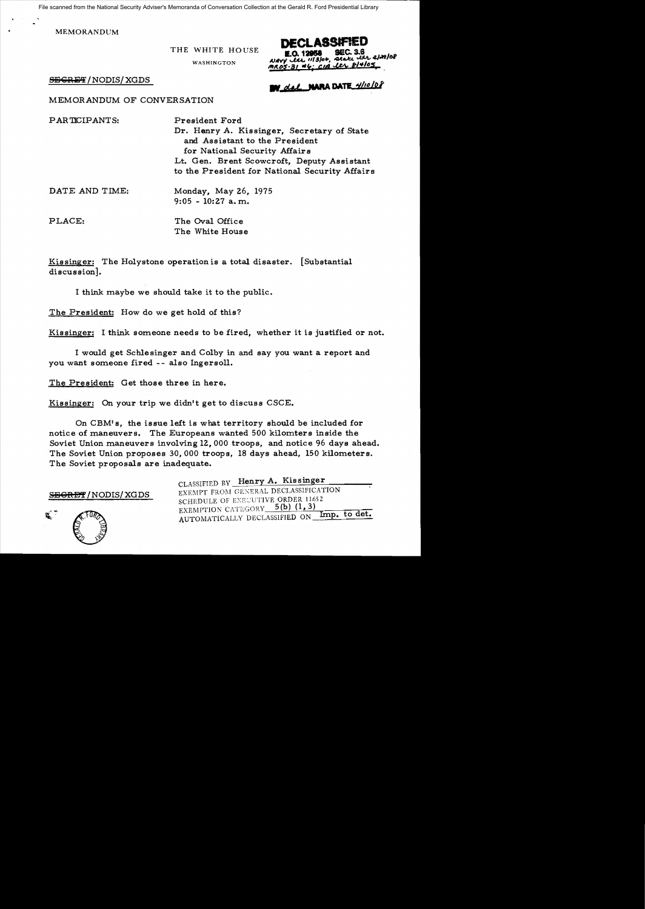File scanned from the National Security Adviser's Memoranda of Conversation Collection at the Gerald R. Ford Presidential Library

MEMORANDUM

THE WHITE HOUSE

WASHINGTON

DECLASSIFIED alett itr 2/29/08  $CH4105$ 

 $S\to$ GRET/NODIS/XGDS ...  $\bullet$  ...  $\bullet$  ...  $\bullet$  ...  $\bullet$  ...  $\bullet$  ...  $\bullet$  ...  $\bullet$  ...  $\bullet$  ...  $\bullet$  ...  $\bullet$  ...

MEMORANDUM OF CONVERSATION

PARTICIPANTS: President Ford Dr. Henry A. Kissinger, Secretary of State and Assistant to the President for National Security Affairs Lt. Gen. Brent Scowcroft, Deputy Assistant to the President for National Security Affairs

DATE AND TIME: Monday, May 26, 1975 9:05 - 10:27 a. m.

PLACE: The Oval Office The White House

Kissinger: The Holystone operation is a total disaster. [Substantial discussion].

I think maybe we should take it to the public.

The President: How do we get hold of this?

Kissinger: I think someone needs to be fired, whether it is justified or not.

I would get Schlesinger and Colby in and say you want a report and you want someone fired -- also Ingersoll.

The President: Get those three in here.

Kissinger: On your trip we didn't get to discuss CSCE.

On CBM's, the issue left is what territory should be included for notice of maneuvers. The Europeans wanted 500 kilomters inside the Soviet Union maneuvers involving 12, 000 troops, and notice 96 days ahead. The Soviet Union proposes 30,000 troops, 18 days ahead, 150 kilometers. The Soviet proposals are inadequate.



CLASSIFIED BY Henry A. Kissinger SEGRET/NODIS/XGDS EXEMPT FROM GENERAL DECLASSIFICATION SCHEDULE OF EXECUTIVE ORDER 11652<br>EXEMPTION CATEGORY 5(b) (1,3) AUTOMATICALLY DECLASSIFIED ON Imp. to det.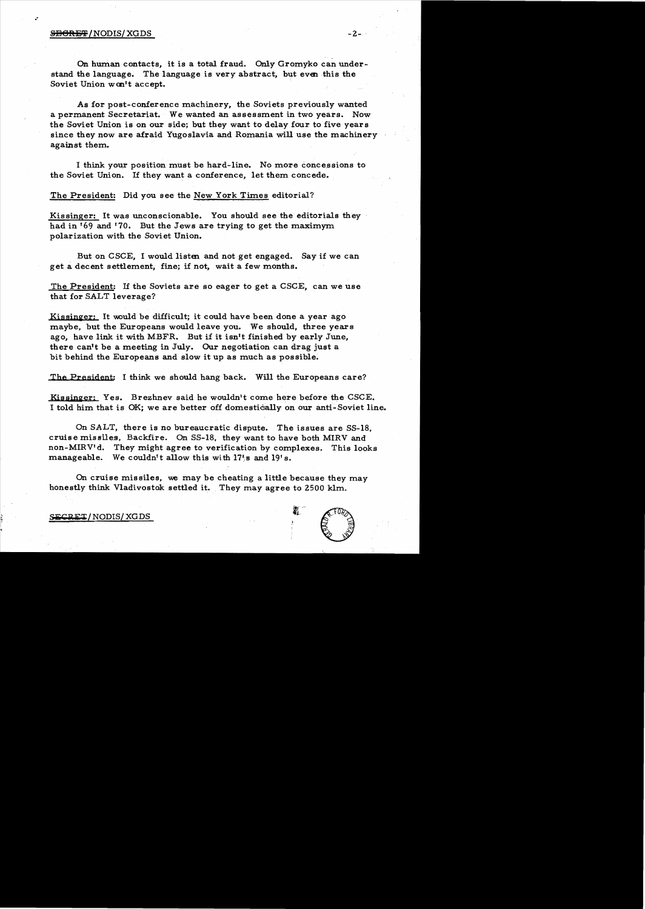## S<del>ISCRET</del>/NODIS/XGDS -2-

.'

On human contacts, it is a total fraud. Only Gromyko can understand the language. The language is very abstract, but even this the Soviet Union won't accept.

As for post-conference machinery, the Soviets previously wanted a permanent Secretariat. We wanted an assessment in two years. Now the Soviet Union is on our side; but they want to delay four to five years since they now are afraid Yugoslavia and Romania will use the machinery against them.

I think your position must be hard-line. No more concessions to the Soviet Union. If they want a conference, let them concede.

The President: Did you see the New York Times editorial?

Kissinger: It was unconscionable. You should see the editorials they had in '69 and '70. But the Jews are trying to get the maximym polarization with the Soviet Union.

But on CSCE, I would listen and not get engaged. Say if we can geta decent settlement, fine; if not, wait a few months.

The President: If the Soviets are so eager to get a CSCE, can we use that for SALT leverage?

Kissinger: It would be difficult; it could have been done a year ago maybe, but the Europeans would leave you. We should, three years ago, have link it with MBFR. But if it isn't finished by early June, there can't be a meeting in July. Our negotiation can drag just a bit behind the Europeans and slow it up as much as possible;

The President: I think we should hang back. Will the Europeans care?

Kissinger: Yes. Brezhnev said he wouldn't come here before the CSCE. I told him that is OK; we are better off domestically on our anti-Soviet line.

On SALT, there is no bureaucratic dispute. The issues are SS-18, cruise missiles, Backfire. On SS-18, they want to have both MIRV and non-MIRV'd. They might agree to verification by complexes. This looks manageable. We couldn't allow this with  $17\$  s and  $19'$  s.

On cruise missiles, we may be cheating a little because they may honestly think Vladivostok settled it. They may agree to 2500 klm.

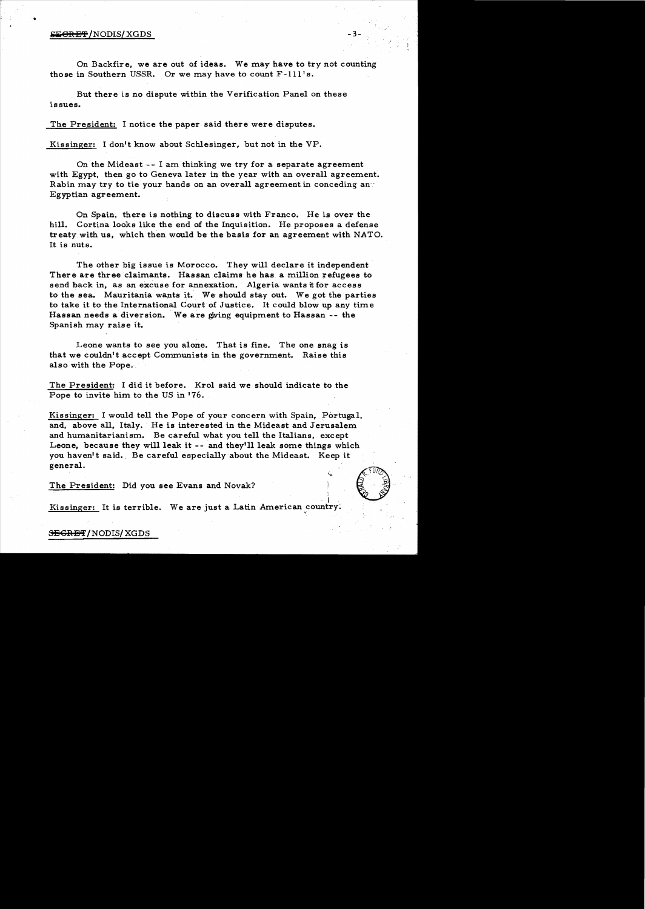## S<del>EGRET</del>/NODIS/XGDS

•

On Backfire, we are out of ideas. We may have to try not counting those in Southern USSR. Or we may have to count F-lll's.

But there is no dispute within the Verification Panel on these issues.

The President: I notice the paper said there were disputes.

Kissinger: I don't know about Schlesinger, but not in the VP.

On the Mideast  $-$  I am thinking we try for a separate agreement with Egypt, then go to Geneva later in the year with an overall agreement. Rabin may try to tie your hands on an overall agreement in conceding an- $\cdot$ Egyptian agreement.

On Spain, there is nothing to discuss with Franco. He is over the hill. Cortina looks like the end of the Inquisition. He proposes a defense treaty with us, which then would be the basis for an agreement with NATO. It is nuts.

The other big issue is Morocco. They will declare it independent There are three claimants. Hassan claims he has a million refugees to send back in, as an excuse for annexation. Algeria wants it for access to the sea. Mauritania wants it. We should stay out. We got the parties to take it to the International Court of Justice. It could blow up any time Hassan needs a diversion. We are giving equipment to Hassan -- the Spanish may raise it.

Leone wants to see you alone. That is fine. The one snag is that we couldn't accept Communists in the government. Raise this also with the Pope.

The President: I did it before. Krol said we should indicate to the Pope to invite him to the US in '76.

Kissinger: I would tell the Pope of your concern with Spain, Portugal, and, above all, Italy. He is interested in the Mideast and Jerusalem and humanitarianism. Be careful what you tell the Italians, except Leone, because they will leak it -- and they'll leak some things which you haven't said. Be careful especially about the Mideast. Keep it general.

The President: Did you see Evans and Novak?

kissinger: It is terrible. We are just a Latin American country.

**SEGRET/NODIS/XGDS**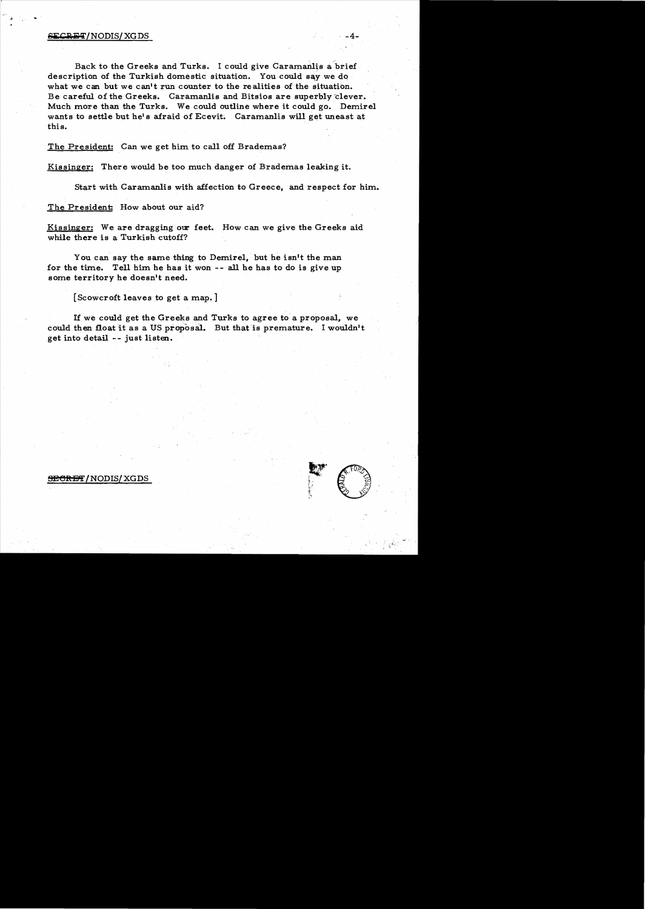## ${{\tt SECRFT}}/{{\tt NODIS}}/{{\tt XGDS}}$  -4.

Back to the Greeks and Turks. I could give Caramanlis a brief description of the Turkish domestic situation. You could say we do what we can but we can't run counter to the realities of the situation. Be careful of the Greeks. Caramanlis and Bitsios are superbly'dever. Much more than the Turks. We could outline where it could go. Demirel wants to settle but he's afraid of Ecevit. Caramanlis will get uneast at this.

The President: Can we get him to call off Brademas?

Kissinger: There would be too much danger of Brademas leaking it.

Start with Caramanlis with affection to Greece, and respect for him.

The President: How about our aid?

Kissinger: We are dragging our feet. How can we give the Greeks aid while there is a Turkish cutoff?

You can say the same thing to Demirel, but he isn't the man for the time. Tell him he has it won - - all he has to do is give up some territory he doesn't need.

[Scowcroft leaves to get a map. ]

If we could get the Greeks and Turks to agree to a proposal, we could then float it as a US proposal. But that is premature. I wouldn't get into detail -- just listen.



## <del>SECRET</del> / NODIS/ XGDS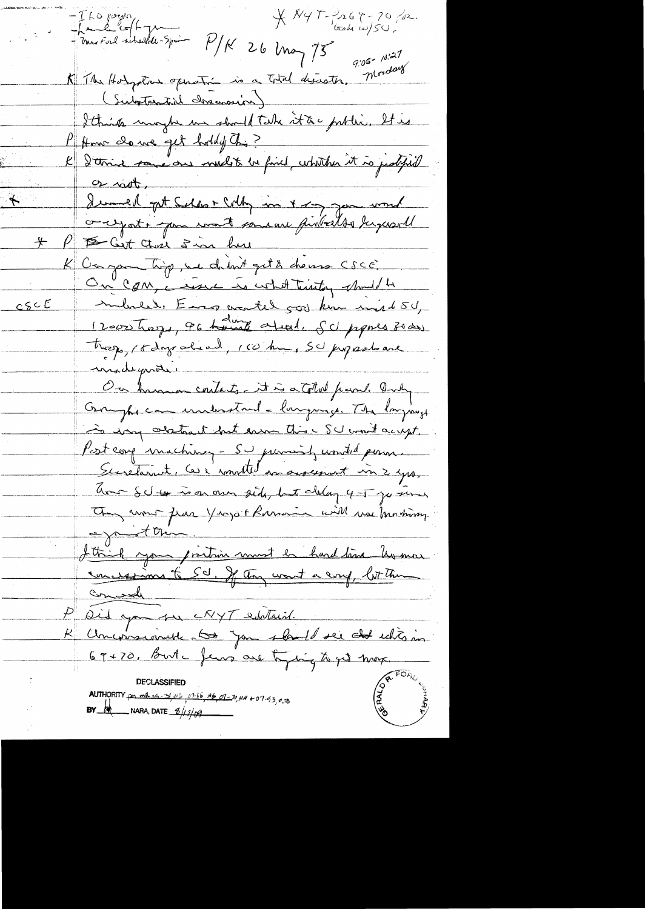The point<br>Thank of fragment  $X$  Ny  $T-\frac{3}{2}$  6  $8-70$  for.  $P/K$  26  $ln\sigma$   $75$ 9:05-10:27 K The Holystane operation is a total desaster (Substential chamosity) Ithink ungle un should take it as public, It is P Home do we get holdy to ? l'Ittine sous avelit le finit utilite à protifield I demel get Selso + Solly in + 1 m und  $+$ K Ca pour tip, and chint get a chans CSCE. On Com, a resure to what treating should be  $CSCE$ mbread, Eno crated 500 km mid 50, 12000 hazes, 96 hours atrad. SU propres 30 das theops, 15 days alread, 160 km, 50 propasations madeguatic On hammar contacts. It is a total from. Andy Grayhe can unleastand - language. The longings is very abstract but even this SU won't accept. Post comp machinez - SU primish wonded pour. aver SU to is on our side, but change of Type since They would fear Years + Russian will use Mothing agnot this. <u>Ittil you prition must le hard time humou.</u><br>concessions & Sc , Je an want a conf, lot then Concede P Did you sur CRYT entraint. K Chromainette <del>to you shall see de</del> chts in **DECLASSIFIED** AUTHORITY  $\frac{1}{4}$  min  $\frac{1}{4}$   $\frac{1}{4}$   $\frac{1}{4}$   $\frac{1}{4}$   $\frac{1}{4}$   $\frac{1}{4}$   $\frac{1}{4}$   $\frac{1}{4}$   $\frac{1}{4}$   $\frac{1}{4}$   $\frac{1}{4}$   $\frac{1}{4}$   $\frac{1}{4}$   $\frac{1}{4}$   $\frac{1}{4}$   $\frac{1}{4}$   $\frac{1}{4}$   $\frac{1}{4}$   $\frac{1}{4}$   $\frac{1}{4$ BY  $M$  NARA, DATE  $\frac{6}{100}$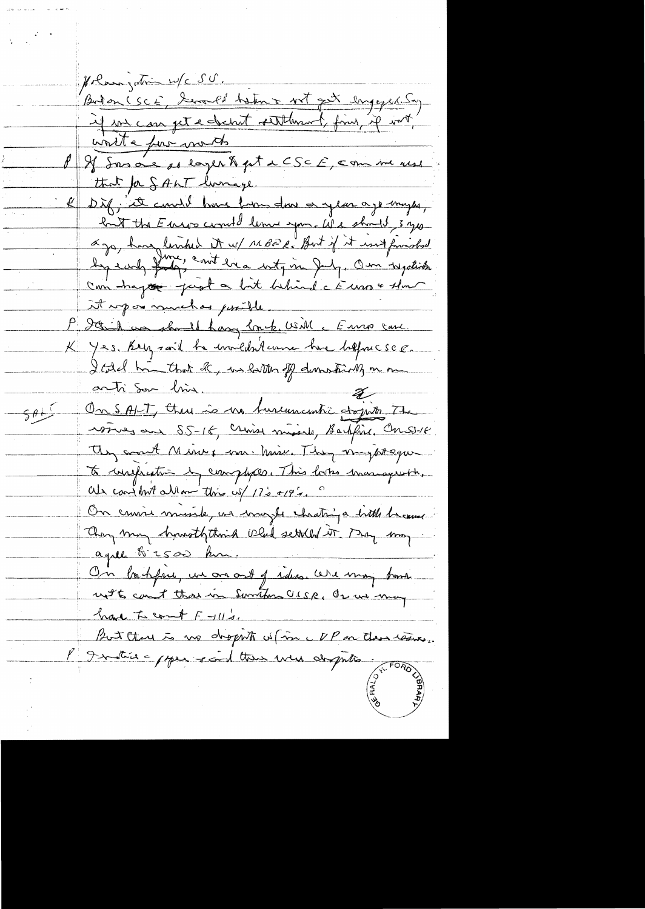polair jotin w/c 50.<br>Buton (SCE, Served heter + 10th lingered 50) Holangation w/c SU. <u>vinite pour monts</u> P & Sasa'e so eager & pt & CSCF, com me ress that for SALT lurrage. Diff; it could have from down a year ago mayor, lant the Euros could leme you. We should sys ago, have limbed it w/ 11 BBC. But if it int finished Can hapte just a bit behind c Euro & that it upon muchas possible. M Solid un should have lock with a Euro care K Yes. Rey said he wouldn't une have heppecsed. I told him that de, in latter of domestic of on me anti Sur bin On SALT, there is no turementic objects the  $\frac{64}{5}$ voires au SS-16, crime musiche, Bartfine, Conseile They won't Minux mr. Minu. They mysteque to conferentin by complexes. This looks managements, als conj but allow this cof 17's +19's On cruire musile, un mazer chatriga bittle bacque They may howsththink Old settled it. May may On backfree, un an art of rideo. We may bank not 6 count that in Sunton USSR, Or we may have to count F-11/2. But there is no dropito of in UP on the resise. P Institute poper soid then were depoted.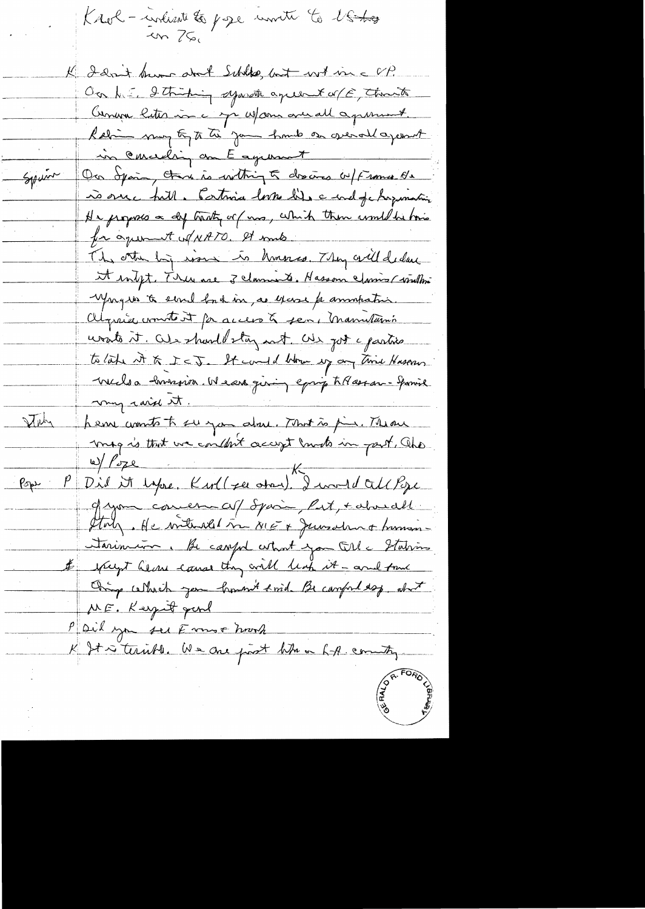Krol - indicate to page unite to lostro K I don't know and Schlas but with me UP. On h. I Striping sympto agree to of E, thank Commence later in c me us and a possible. Rabin mon to to the your home or grenal aponent in conceding on E agrount On opain, there is withing to descres w/Frame de Spain ro ourc full. Cartinica lorse lits a mel fa hopemation He proposes a dy traty or (mas, which then would be bois for agreement of NATO. It mis. The other by work is homores. They crill declare it inligt. There are 3 claments. Hasson claims (windling yought to sevel back in , as excase for anompation. Olyrice commente et par access à sen, manutanin unato it. Out should stay not als got a partico to late it & ICJ. It could blow up any time Haseran vuils a envision. Ne est giving eprop tel seran-gamie my raid st. Ally hem comto to surgan about. That is pin. Theou mag is that we couldn't accept moto in part, the W/Poze Kurl(zu atau), I would call Pope  $\rho_{\text{opt}}$ of you comen af Spain, Put, + about Statz. He without in NIE + Junsdan + human-Sarinian. Be careful what you till a Stations & specift he are caused thing will leap it - and func Oring which you how think of campular of ME. Keynt gard P Dil you see Emmer hook K St is terrible. We are past when hit commity